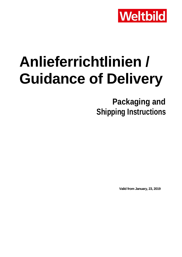

# **Anlieferrichtlinien / Guidance of Delivery**

**Packaging and Shipping Instructions**

**Valid from January, 23, 2019**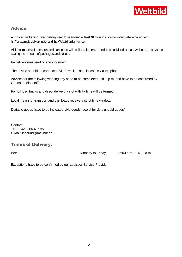

# Advice

All full load trucks resp. direct delivery need to be advised at least 48 hours in advance stating pallet amount, item list (for example delivery note) and the Weltbild-order number.

All local means of transport and part loads with pallet shipments need to be advised at least 24 hours in advance stating the amount of packages and pallets.

Parcel deliveries need no announcement.

The advice should be conducted via E-mail, in special cases via telephone.

Advices for the following working day need to be completed until 2 p.m. and have to be confirmed by Goods receipt staff.

For full load trucks and direct delivery a slot with fix time will be termed.

Local means of transport and part loads receive a strict time window.

Dutiable goods have to be indicated. "No goods receipt for duty unpaid goods"

Contact: Tel.: + 420 606076935 E-Mail: inbound@mcl-bor.cz

## Times of Delivery:

Bor: Bor: Bor: Electronic Monday to Friday: 06:00 a.m. - 14:00 a.m.

Exceptions have to be confirmed by our Logistics Service Provider.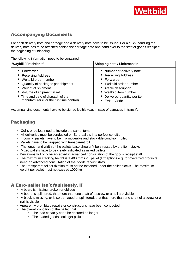# Accompanying Documents

For each delivery both and carriage and a delivery note have to be issued. For a quick handling the delivery note has to be attached behind the carriage note and hand over to the staff of goods receipt at the beginning of unloading.

The following information need to be contained:

| <b>Waybill / Frachtbrief:</b>                       | <b>Shipping note / Lieferschein:</b> |
|-----------------------------------------------------|--------------------------------------|
| ■ Forwarder                                         | ■ Number of delivery note            |
| ■ Receiving Address                                 | <b>Receiving Address</b>             |
| ■ Weltbild order number                             | ■ Forwarder                          |
| ■ Quantity of packages per shipment                 | Weltbild order number                |
| ■ Weight of shipment                                | ■ Article description                |
| $\blacksquare$ Volume of shipment in m <sup>3</sup> | ■ Weltbild item number               |
| ■ Time and date of dispatch of the                  | • Delivered quantity per item        |
| manufacturer (For the run time control)             | EAN - Code                           |

Accompanying documents have to be signed legible (e.g. in case of damages in transit).

## Packaging

- Collis or pallets need to include the same items
- All deliveries must be conducted on Euro-pallets in a perfect condition
- **Incoming pallets have to be in a moveable and stackable condition (foiled)**
- Pallets have to be wrapped with transparent foil
- The length and width oft he pallets base shouldn't be stressed by the item stacks
- Mixed pallets have to be clearly indicated as mixed pallets
- Deviations will only be accepted in advanced consultation of the goods receipt staff
- The maximum stacking height is 1.400 mm incl. pallet (Exceptions e.g. for oversized products need an advanced consultation of the goods receipt staff).
- The transparent foil for fixation must not be fastened under the pallet blocks. The maximum weight per pallet must not exceed 1000 kg

## A Euro-pallet isn´t faultlessly, if

- A board is missing, broken or oblique
- A board is splintered, that more than one shaft of a screw or a nail are visible
- A block is missing, or is so damaged or splintered, that that more than one shaft of a screw or a nail is visible
- Apparently prohibited repairs or constructions have been conducted
- The overall condition of the pallet, that
	- o The load capacity can´t be ensured no longer
		- o The loaded goods could get polluted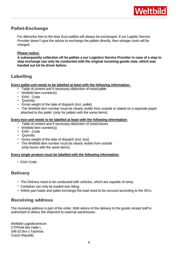

## Pallet-Exchange

For deliveries free to the door Euro-pallets will always be exchanged. If our Logistic Service Provider doesn´t give the advice to exchange the pallets directly, then storage costs will be charged.

#### **Please notice:**

**A subsequently collection oft he pallets a our Logistics Service Provider in case of a step to step exchange can only be conducted with the original incoming goods note, which was handed out tot he driver before.**

## Labelling

#### **Every pallet-unit needs to be labelled at least with the following information:**

- Table of content and if necessary distinction of mixed pallets
- Weltbild item number(s)
- EAN Code
- **Cuantity**
- Gross weight of the date of dispatch (incl. pallet)
- The Weltbild item number must be clearly visible from outside or stated on a separate paper attached to the pallet. (only for pallets with the same items)

#### **Every box-unit needs to be labelled at least with the following information:**

- **Table of content and if necessary distinction of mixed boxes**
- Weltbild item number(s)
- EAN Code
- Quantity
- Gross weight of the date of dispatch (incl. box)
- The Weltbild item number must be clearly visible from outside (only boxes with the same items)

#### **Every single product must be labelled with the following information:**

■ EAN Code

## **Delivery**

- The Delivery need to be conducted with vehicles, which are capable of ramp.
- **Container can only be loaded rear fitting.**
- Within part loads and pallet exchange the load need to be secured according to the StVo.

## Receiving address

The receiving address is part of the order. With advice of the delivery to the goods receipt staff is authorised to detour the shipment to external warehouses.

Weltbild Logistikzentrum CTPPark Bor Halle L 348 02 Bor u Tachova Czech Republic